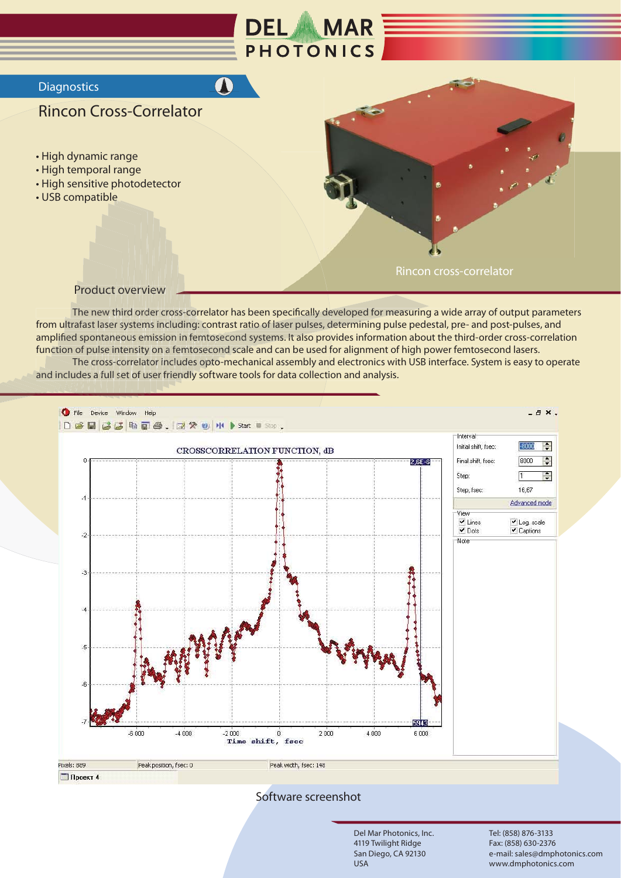

The new third order cross-correlator has been specifically developed for measuring a wide array of output parameters from ultrafast laser systems including: contrast ratio of laser pulses, determining pulse pedestal, pre- and post-pulses, and amplified spontaneous emission in femtosecond systems. It also provides information about the third-order cross-correlation function of pulse intensity on a femtosecond scale and can be used for alignment of high power femtosecond lasers.

The cross-correlator includes opto-mechanical assembly and electronics with USB interface. System is easy to operate and includes a full set of user friendly software tools for data collection and analysis.



Software screenshot

Del Mar Photonics, Inc. 4119 Twilight Ridge San Diego, CA 92130 **USA** 

Tel: (858) 876-3133 Fax: (858) 630-2376 e-mail: sales@dmphotonics.com www.dmphotonics.com